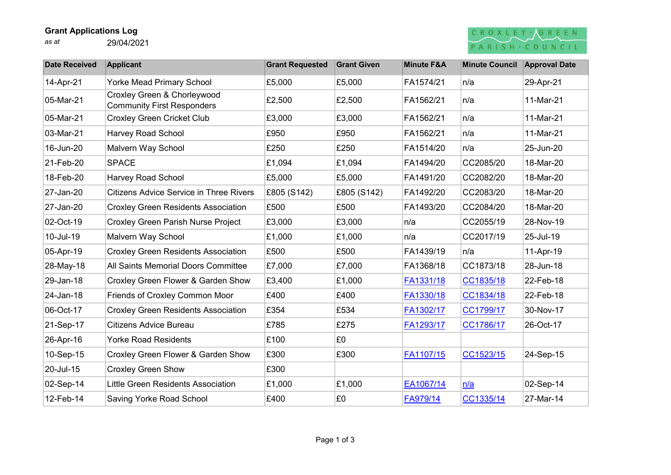### Grant Applications Log

as at 29/04/2021

## CROXLEY GREEN PARISH . COUNCIL

| <b>Date Received</b> | <b>Applicant</b>                                                 | <b>Grant Requested</b> | <b>Grant Given</b> | <b>Minute F&amp;A</b> | <b>Minute Council</b> | <b>Approval Date</b> |
|----------------------|------------------------------------------------------------------|------------------------|--------------------|-----------------------|-----------------------|----------------------|
| 14-Apr-21            | <b>Yorke Mead Primary School</b>                                 | £5,000                 | £5,000             | FA1574/21             | n/a                   | 29-Apr-21            |
| 05-Mar-21            | Croxley Green & Chorleywood<br><b>Community First Responders</b> | £2,500                 | £2,500             | FA1562/21             | n/a                   | 11-Mar-21            |
| 05-Mar-21            | <b>Croxley Green Cricket Club</b>                                | £3,000                 | £3,000             | FA1562/21             | n/a                   | 11-Mar-21            |
| 03-Mar-21            | Harvey Road School                                               | £950                   | £950               | FA1562/21             | n/a                   | 11-Mar-21            |
| 16-Jun-20            | Malvern Way School                                               | £250                   | £250               | FA1514/20             | n/a                   | 25-Jun-20            |
| 21-Feb-20            | <b>SPACE</b>                                                     | £1,094                 | £1,094             | FA1494/20             | CC2085/20             | 18-Mar-20            |
| 18-Feb-20            | <b>Harvey Road School</b>                                        | £5,000                 | £5,000             | FA1491/20             | CC2082/20             | 18-Mar-20            |
| 27-Jan-20            | <b>Citizens Advice Service in Three Rivers</b>                   | £805 (S142)            | £805 (S142)        | FA1492/20             | CC2083/20             | 18-Mar-20            |
| 27-Jan-20            | <b>Croxley Green Residents Association</b>                       | £500                   | £500               | FA1493/20             | CC2084/20             | 18-Mar-20            |
| 02-Oct-19            | <b>Croxley Green Parish Nurse Project</b>                        | £3,000                 | £3,000             | ∣n/a                  | CC2055/19             | 28-Nov-19            |
| 10-Jul-19            | Malvern Way School                                               | £1,000                 | £1,000             | ∣n/a                  | CC2017/19             | 25-Jul-19            |
| 05-Apr-19            | <b>Croxley Green Residents Association</b>                       | £500                   | £500               | FA1439/19             | n/a                   | 11-Apr-19            |
| 28-May-18            | All Saints Memorial Doors Committee                              | £7,000                 | £7,000             | FA1368/18             | CC1873/18             | 28-Jun-18            |
| 29-Jan-18            | Croxley Green Flower & Garden Show                               | £3,400                 | £1,000             | FA1331/18             | CC1835/18             | 22-Feb-18            |
| 24-Jan-18            | Friends of Croxley Common Moor                                   | £400                   | £400               | FA1330/18             | CC1834/18             | 22-Feb-18            |
| 06-Oct-17            | <b>Croxley Green Residents Association</b>                       | £354                   | £534               | FA1302/17             | CC1799/17             | 30-Nov-17            |
| 21-Sep-17            | Citizens Advice Bureau                                           | £785                   | £275               | FA1293/17             | CC1786/17             | 26-Oct-17            |
| 26-Apr-16            | <b>Yorke Road Residents</b>                                      | £100                   | £0                 |                       |                       |                      |
| 10-Sep-15            | Croxley Green Flower & Garden Show                               | £300                   | £300               | FA1107/15             | CC1523/15             | 24-Sep-15            |
| 20-Jul-15            | <b>Croxley Green Show</b>                                        | £300                   |                    |                       |                       |                      |
| 02-Sep-14            | <b>Little Green Residents Association</b>                        | £1,000                 | £1,000             | EA1067/14             | n/a                   | 02-Sep-14            |
| 12-Feb-14            | <b>Saving Yorke Road School</b>                                  | £400                   | £0                 | FA979/14              | CC1335/14             | 27-Mar-14            |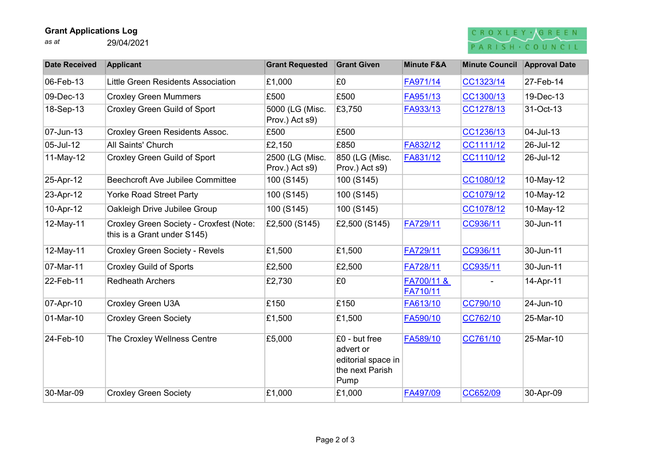### Grant Applications Log

as at 29/04/2021

# CROXLEY AGREEN PARISH · COUNCIL

| <b>Date Received</b> | <b>Applicant</b>                                                       | <b>Grant Requested</b>            | <b>Grant Given</b>                                                          | <b>Minute F&amp;A</b>  | <b>Minute Council</b> | <b>Approval Date</b> |
|----------------------|------------------------------------------------------------------------|-----------------------------------|-----------------------------------------------------------------------------|------------------------|-----------------------|----------------------|
| 06-Feb-13            | Little Green Residents Association                                     | £1,000                            | £0                                                                          | FA971/14               | CC1323/14             | 27-Feb-14            |
| 09-Dec-13            | <b>Croxley Green Mummers</b>                                           | £500                              | £500                                                                        | FA951/13               | CC1300/13             | 19-Dec-13            |
| 18-Sep-13            | <b>Croxley Green Guild of Sport</b>                                    | 5000 (LG (Misc.<br>Prov.) Act s9) | £3,750                                                                      | FA933/13               | CC1278/13             | 31-Oct-13            |
| 07-Jun-13            | <b>Croxley Green Residents Assoc.</b>                                  | £500                              | £500                                                                        |                        | CC1236/13             | 04-Jul-13            |
| 05-Jul-12            | All Saints' Church                                                     | £2,150                            | £850                                                                        | FA832/12               | CC1111/12             | 26-Jul-12            |
| 11-May-12            | <b>Croxley Green Guild of Sport</b>                                    | 2500 (LG (Misc.<br>Prov.) Act s9) | 850 (LG (Misc.<br>Prov.) Act s9)                                            | FA831/12               | CC1110/12             | 26-Jul-12            |
| 25-Apr-12            | <b>Beechcroft Ave Jubilee Committee</b>                                | 100 (S145)                        | 100 (S145)                                                                  |                        | CC1080/12             | 10-May-12            |
| 23-Apr-12            | <b>Yorke Road Street Party</b>                                         | 100 (S145)                        | 100 (S145)                                                                  |                        | CC1079/12             | 10-May-12            |
| 10-Apr-12            | Oakleigh Drive Jubilee Group                                           | 100 (S145)                        | 100 (S145)                                                                  |                        | CC1078/12             | 10-May-12            |
| 12-May-11            | Croxley Green Society - Croxfest (Note:<br>this is a Grant under S145) | £2,500 (S145)                     | £2,500 (S145)                                                               | FA729/11               | CC936/11              | 30-Jun-11            |
| 12-May-11            | <b>Croxley Green Society - Revels</b>                                  | £1,500                            | £1,500                                                                      | FA729/11               | CC936/11              | 30-Jun-11            |
| 07-Mar-11            | <b>Croxley Guild of Sports</b>                                         | £2,500                            | £2,500                                                                      | FA728/11               | CC935/11              | 30-Jun-11            |
| 22-Feb-11            | <b>Redheath Archers</b>                                                | £2,730                            | £0                                                                          | FA700/11 &<br>FA710/11 |                       | 14-Apr-11            |
| 07-Apr-10            | <b>Croxley Green U3A</b>                                               | £150                              | £150                                                                        | FA613/10               | CC790/10              | 24-Jun-10            |
| 01-Mar-10            | <b>Croxley Green Society</b>                                           | £1,500                            | £1,500                                                                      | FA590/10               | CC762/10              | 25-Mar-10            |
| 24-Feb-10            | The Croxley Wellness Centre                                            | £5,000                            | £0 - but free<br>advert or<br>editorial space in<br>the next Parish<br>Pump | FA589/10               | CC761/10              | 25-Mar-10            |
| 30-Mar-09            | <b>Croxley Green Society</b>                                           | £1,000                            | £1,000                                                                      | FA497/09               | CC652/09              | 30-Apr-09            |